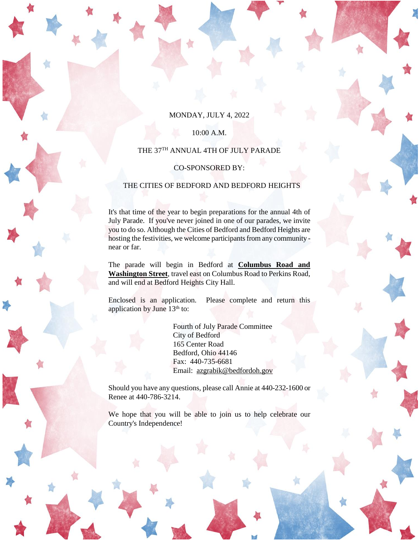### MONDAY, JULY 4, 2022

#### 10:00 A.M.

#### THE 37 TH ANNUAL 4TH OF JULY PARADE

### CO-SPONSORED BY:

## THE CITIES OF BEDFORD AND BEDFORD HEIGHTS

It's that time of the year to begin preparations for the annual 4th of July Parade. If you've never joined in one of our parades, we invite you to do so. Although the Cities of Bedford and Bedford Heights are hosting the festivities, we welcome participants from any community near or far.

The parade will begin in Bedford at **Columbus Road and Washington Street**, travel east on Columbus Road to Perkins Road, and will end at Bedford Heights City Hall.

Enclosed is an application. Please complete and return this application by June 13<sup>th</sup> to:

> Fourth of July Parade Committee City of Bedford 165 Center Road Bedford, Ohio 44146 Fax: 440-735-6681 Email: [azgrabik@bedfordoh.gov](mailto:azgrabik@bedfordoh.gov)

Should you have any questions, please call Annie at 440-232-1600 or Renee at 440-786-3214.

We hope that you will be able to join us to help celebrate our Country's Independence!